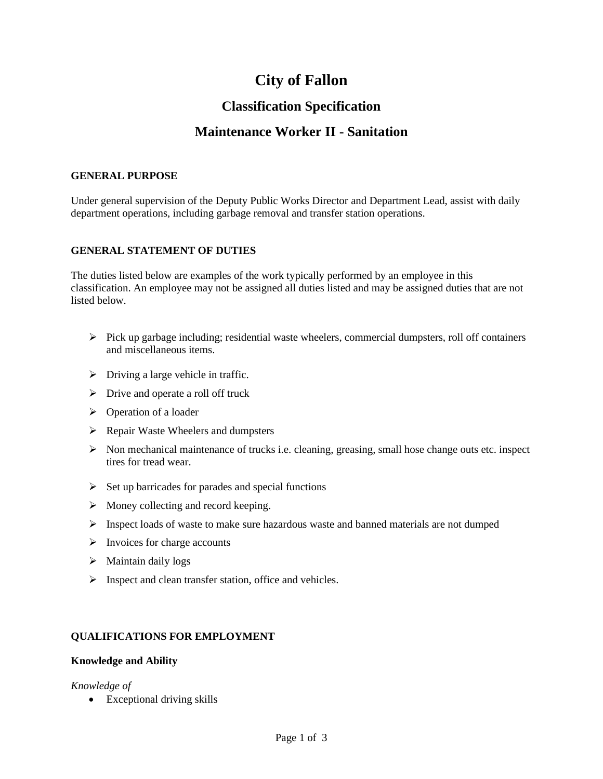# **City of Fallon**

## **Classification Specification**

### **Maintenance Worker II - Sanitation**

#### **GENERAL PURPOSE**

Under general supervision of the Deputy Public Works Director and Department Lead, assist with daily department operations, including garbage removal and transfer station operations.

#### **GENERAL STATEMENT OF DUTIES**

The duties listed below are examples of the work typically performed by an employee in this classification. An employee may not be assigned all duties listed and may be assigned duties that are not listed below.

- $\triangleright$  Pick up garbage including; residential waste wheelers, commercial dumpsters, roll off containers and miscellaneous items.
- $\triangleright$  Driving a large vehicle in traffic.
- $\triangleright$  Drive and operate a roll off truck
- ➢ Operation of a loader
- ➢ Repair Waste Wheelers and dumpsters
- $\triangleright$  Non mechanical maintenance of trucks i.e. cleaning, greasing, small hose change outs etc. inspect tires for tread wear.
- $\triangleright$  Set up barricades for parades and special functions
- $\triangleright$  Money collecting and record keeping.
- ➢ Inspect loads of waste to make sure hazardous waste and banned materials are not dumped
- $\triangleright$  Invoices for charge accounts
- ➢ Maintain daily logs
- ➢ Inspect and clean transfer station, office and vehicles.

#### **QUALIFICATIONS FOR EMPLOYMENT**

#### **Knowledge and Ability**

#### *Knowledge of*

• Exceptional driving skills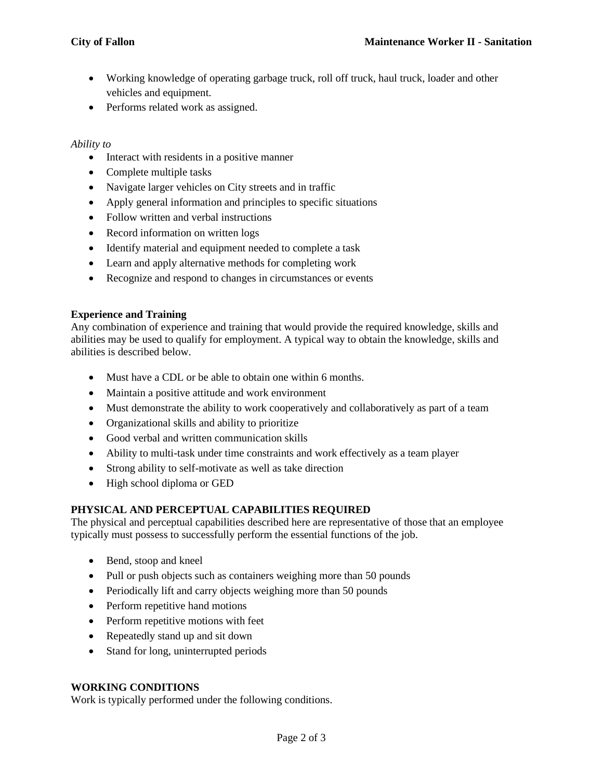- Working knowledge of operating garbage truck, roll off truck, haul truck, loader and other vehicles and equipment.
- Performs related work as assigned.

#### *Ability to*

- Interact with residents in a positive manner
- Complete multiple tasks
- Navigate larger vehicles on City streets and in traffic
- Apply general information and principles to specific situations
- Follow written and verbal instructions
- Record information on written logs
- Identify material and equipment needed to complete a task
- Learn and apply alternative methods for completing work
- Recognize and respond to changes in circumstances or events

#### **Experience and Training**

Any combination of experience and training that would provide the required knowledge, skills and abilities may be used to qualify for employment. A typical way to obtain the knowledge, skills and abilities is described below.

- Must have a CDL or be able to obtain one within 6 months.
- Maintain a positive attitude and work environment
- Must demonstrate the ability to work cooperatively and collaboratively as part of a team
- Organizational skills and ability to prioritize
- Good verbal and written communication skills
- Ability to multi-task under time constraints and work effectively as a team player
- Strong ability to self-motivate as well as take direction
- High school diploma or GED

#### **PHYSICAL AND PERCEPTUAL CAPABILITIES REQUIRED**

The physical and perceptual capabilities described here are representative of those that an employee typically must possess to successfully perform the essential functions of the job.

- Bend, stoop and kneel
- Pull or push objects such as containers weighing more than 50 pounds
- Periodically lift and carry objects weighing more than 50 pounds
- Perform repetitive hand motions
- Perform repetitive motions with feet
- Repeatedly stand up and sit down
- Stand for long, uninterrupted periods

#### **WORKING CONDITIONS**

Work is typically performed under the following conditions.